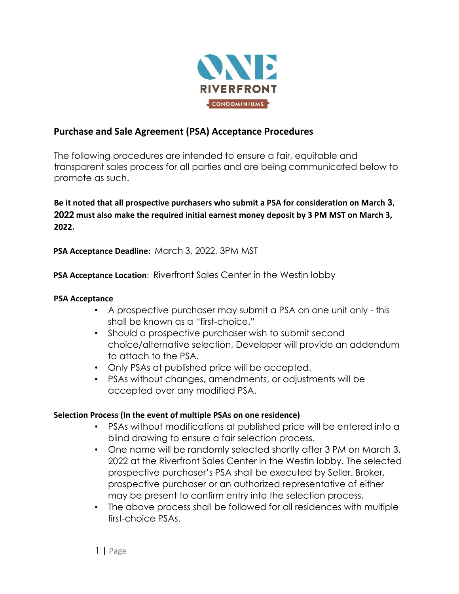

# **Purchase and Sale Agreement (PSA) Acceptance Procedures**

The following procedures are intended to ensure a fair, equitable and transparent sales process for all parties and are being communicated below to promote as such.

# **Be it noted that all prospective purchasers who submit a PSA for consideration on March 3, 2022 must also make the required initial earnest money deposit by 3 PM MST on March 3, 2022.**

**PSA Acceptance Deadline:** March 3, 2022, 3PM MST

**PSA Acceptance Location**: Riverfront Sales Center in the Westin lobby

#### **PSA Acceptance**

- A prospective purchaser may submit a PSA on one unit only this shall be known as a "first-choice."
- Should a prospective purchaser wish to submit second choice/alternative selection, Developer will provide an addendum to attach to the PSA.
- Only PSAs at published price will be accepted.
- PSAs without changes, amendments, or adjustments will be accepted over any modified PSA.

## **Selection Process (In the event of multiple PSAs on one residence)**

- PSAs without modifications at published price will be entered into a blind drawing to ensure a fair selection process.
- One name will be randomly selected shortly after 3 PM on March 3, 2022 at the Riverfront Sales Center in the Westin lobby. The selected prospective purchaser's PSA shall be executed by Seller. Broker, prospective purchaser or an authorized representative of either may be present to confirm entry into the selection process.
- The above process shall be followed for all residences with multiple first-choice PSAs.